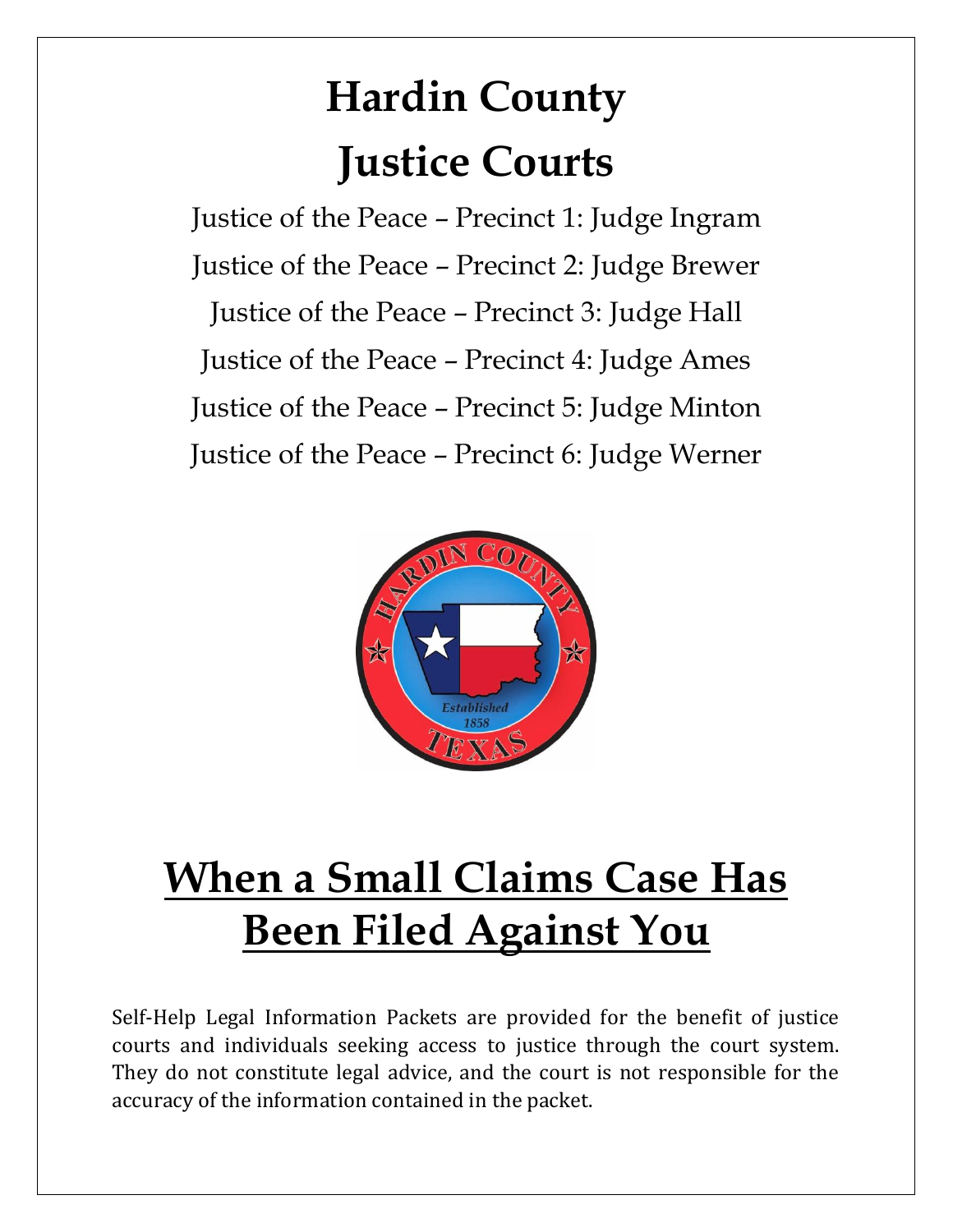# **Hardin County Justice Courts**

Justice of the Peace – Precinct 1: Judge Ingram Justice of the Peace – Precinct 2: Judge Brewer Justice of the Peace – Precinct 3: Judge Hall Justice of the Peace – Precinct 4: Judge Ames Justice of the Peace – Precinct 5: Judge Minton Justice of the Peace – Precinct 6: Judge Werner



# **When a Small Claims Case Has Been Filed Against You**

Self-Help Legal Information Packets are provided for the benefit of justice courts and individuals seeking access to justice through the court system. They do not constitute legal advice, and the court is not responsible for the accuracy of the information contained in the packet.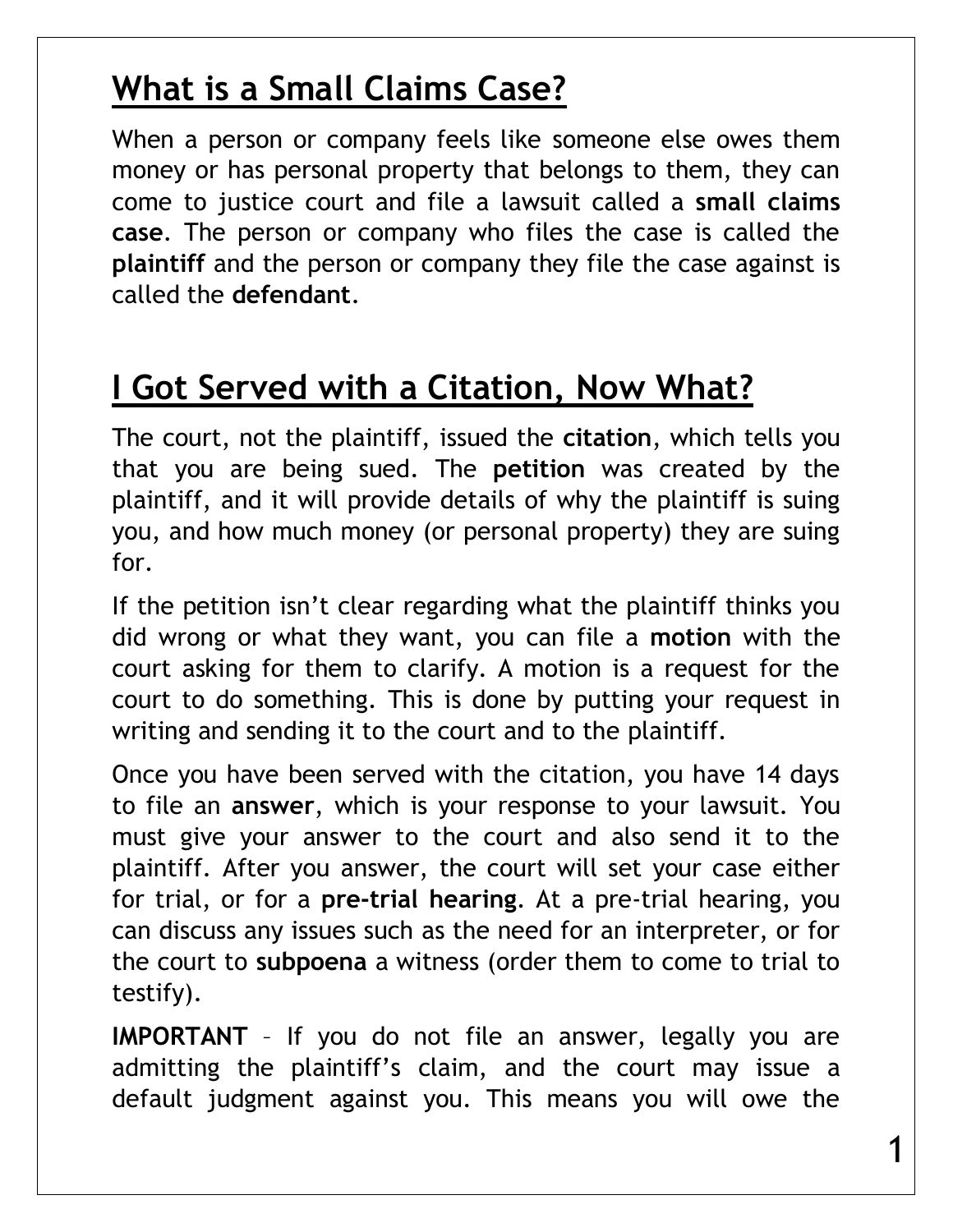#### **What is a Small Claims Case?**

When a person or company feels like someone else owes them money or has personal property that belongs to them, they can come to justice court and file a lawsuit called a **small claims case**. The person or company who files the case is called the **plaintiff** and the person or company they file the case against is called the **defendant**.

#### **I Got Served with a Citation, Now What?**

The court, not the plaintiff, issued the **citation**, which tells you that you are being sued. The **petition** was created by the plaintiff, and it will provide details of why the plaintiff is suing you, and how much money (or personal property) they are suing for.

If the petition isn't clear regarding what the plaintiff thinks you did wrong or what they want, you can file a **motion** with the court asking for them to clarify. A motion is a request for the court to do something. This is done by putting your request in writing and sending it to the court and to the plaintiff.

Once you have been served with the citation, you have 14 days to file an **answer**, which is your response to your lawsuit. You must give your answer to the court and also send it to the plaintiff. After you answer, the court will set your case either for trial, or for a **pre-trial hearing**. At a pre-trial hearing, you can discuss any issues such as the need for an interpreter, or for the court to **subpoena** a witness (order them to come to trial to testify).

**IMPORTANT** – If you do not file an answer, legally you are admitting the plaintiff's claim, and the court may issue a default judgment against you. This means you will owe the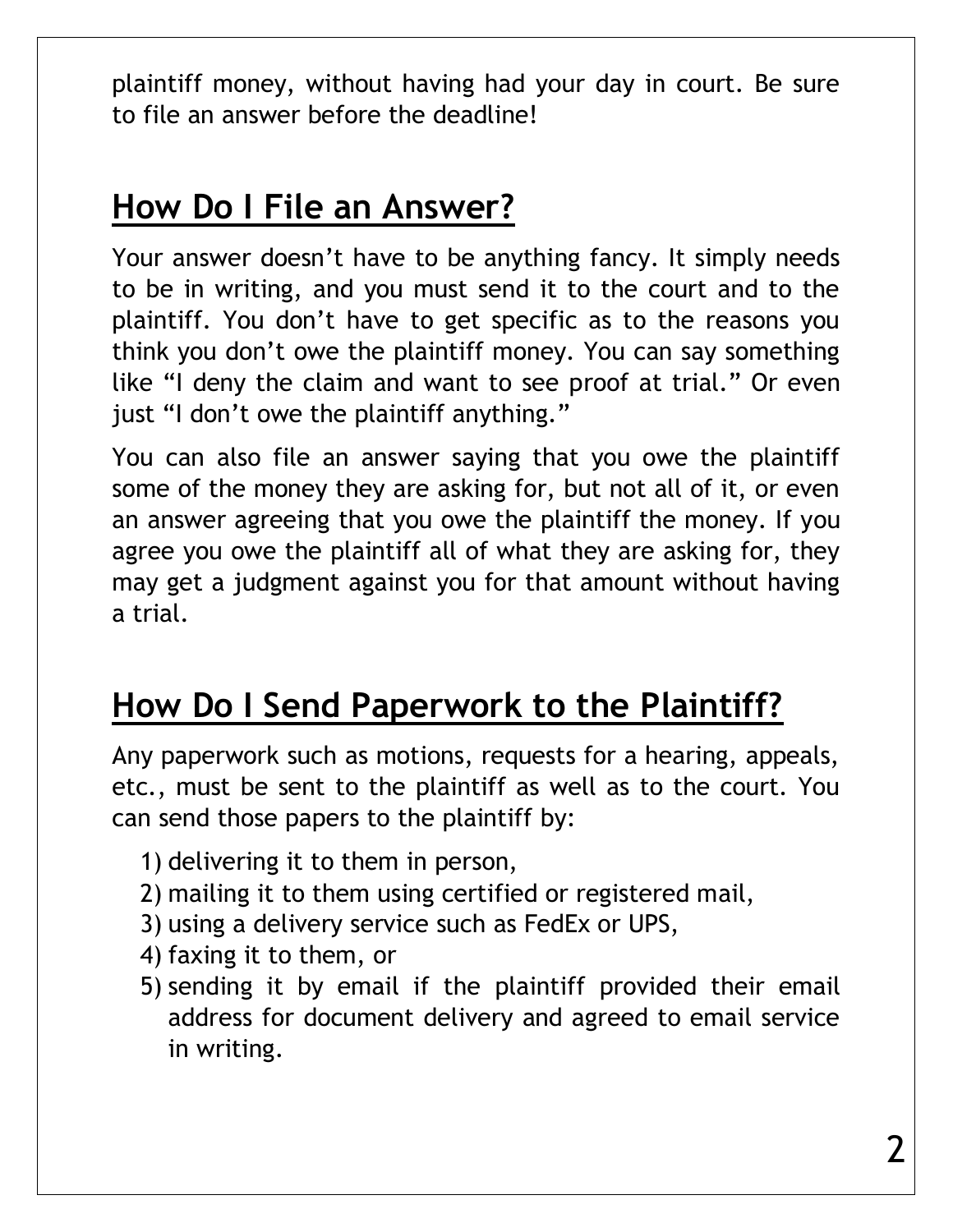plaintiff money, without having had your day in court. Be sure to file an answer before the deadline!

#### **How Do I File an Answer?**

Your answer doesn't have to be anything fancy. It simply needs to be in writing, and you must send it to the court and to the plaintiff. You don't have to get specific as to the reasons you think you don't owe the plaintiff money. You can say something like "I deny the claim and want to see proof at trial." Or even just "I don't owe the plaintiff anything."

You can also file an answer saying that you owe the plaintiff some of the money they are asking for, but not all of it, or even an answer agreeing that you owe the plaintiff the money. If you agree you owe the plaintiff all of what they are asking for, they may get a judgment against you for that amount without having a trial.

## **How Do I Send Paperwork to the Plaintiff?**

Any paperwork such as motions, requests for a hearing, appeals, etc., must be sent to the plaintiff as well as to the court. You can send those papers to the plaintiff by:

- 1) delivering it to them in person,
- 2) mailing it to them using certified or registered mail,
- 3) using a delivery service such as FedEx or UPS,
- 4) faxing it to them, or
- 5) sending it by email if the plaintiff provided their email address for document delivery and agreed to email service in writing.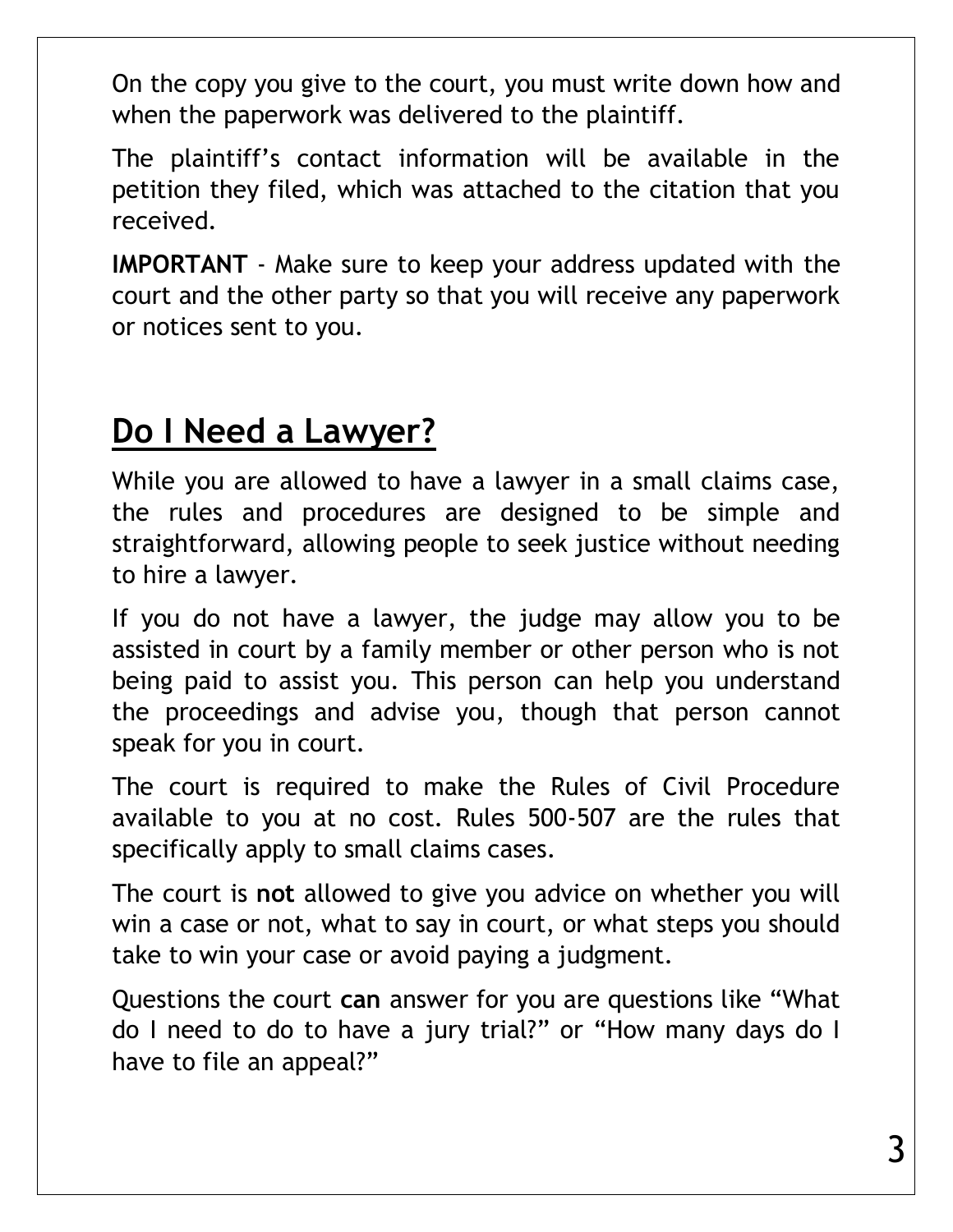On the copy you give to the court, you must write down how and when the paperwork was delivered to the plaintiff.

The plaintiff's contact information will be available in the petition they filed, which was attached to the citation that you received.

**IMPORTANT** - Make sure to keep your address updated with the court and the other party so that you will receive any paperwork or notices sent to you.

#### **Do I Need a Lawyer?**

While you are allowed to have a lawyer in a small claims case, the rules and procedures are designed to be simple and straightforward, allowing people to seek justice without needing to hire a lawyer.

If you do not have a lawyer, the judge may allow you to be assisted in court by a family member or other person who is not being paid to assist you. This person can help you understand the proceedings and advise you, though that person cannot speak for you in court.

The court is required to make the Rules of Civil Procedure available to you at no cost. Rules 500-507 are the rules that specifically apply to small claims cases.

The court is **not** allowed to give you advice on whether you will win a case or not, what to say in court, or what steps you should take to win your case or avoid paying a judgment.

Questions the court **can** answer for you are questions like "What do I need to do to have a jury trial?" or "How many days do I have to file an appeal?"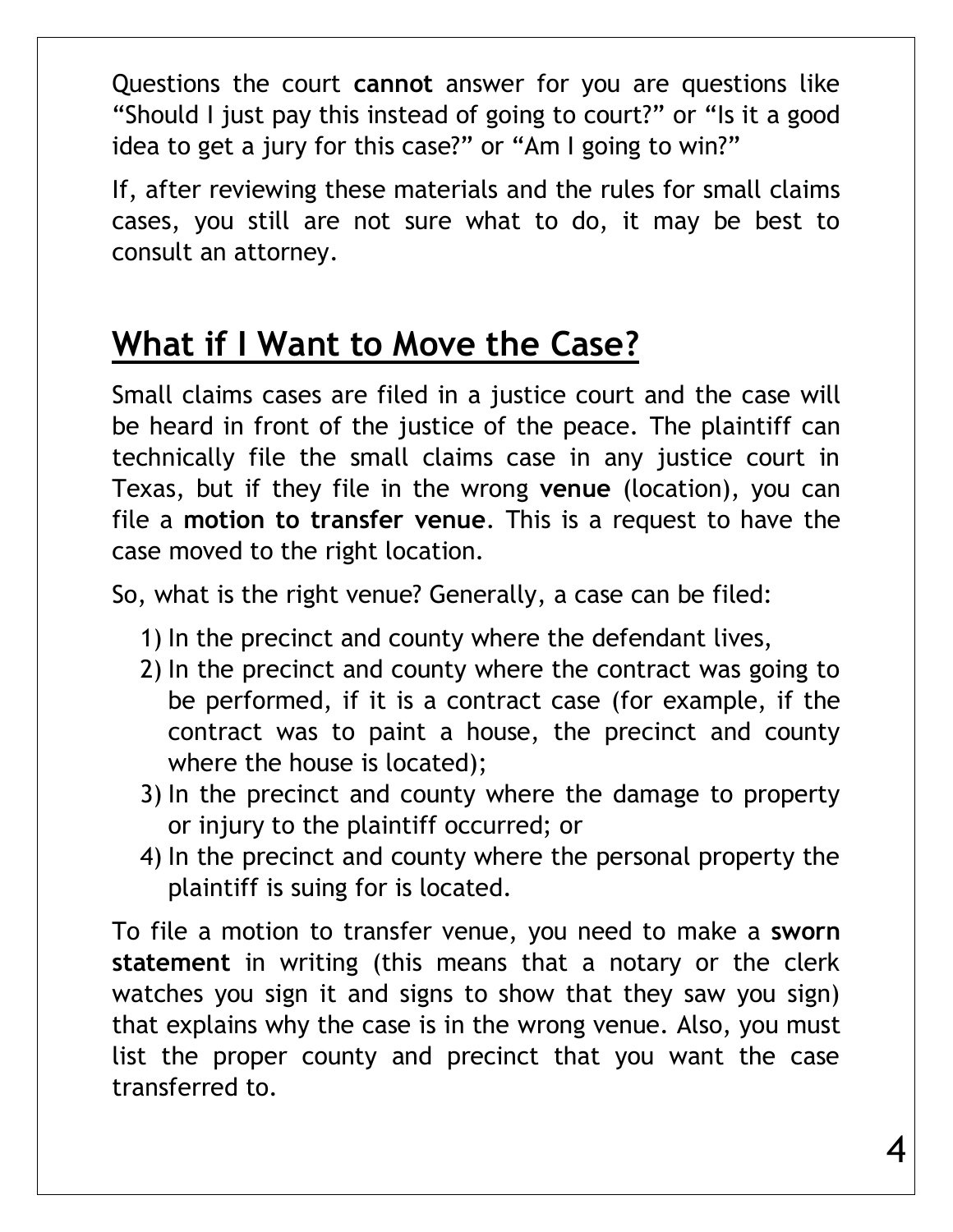Questions the court **cannot** answer for you are questions like "Should I just pay this instead of going to court?" or "Is it a good idea to get a jury for this case?" or "Am I going to win?"

If, after reviewing these materials and the rules for small claims cases, you still are not sure what to do, it may be best to consult an attorney.

## **What if I Want to Move the Case?**

Small claims cases are filed in a justice court and the case will be heard in front of the justice of the peace. The plaintiff can technically file the small claims case in any justice court in Texas, but if they file in the wrong **venue** (location), you can file a **motion to transfer venue**. This is a request to have the case moved to the right location.

So, what is the right venue? Generally, a case can be filed:

- 1) In the precinct and county where the defendant lives,
- 2) In the precinct and county where the contract was going to be performed, if it is a contract case (for example, if the contract was to paint a house, the precinct and county where the house is located);
- 3) In the precinct and county where the damage to property or injury to the plaintiff occurred; or
- 4) In the precinct and county where the personal property the plaintiff is suing for is located.

To file a motion to transfer venue, you need to make a **sworn statement** in writing (this means that a notary or the clerk watches you sign it and signs to show that they saw you sign) that explains why the case is in the wrong venue. Also, you must list the proper county and precinct that you want the case transferred to.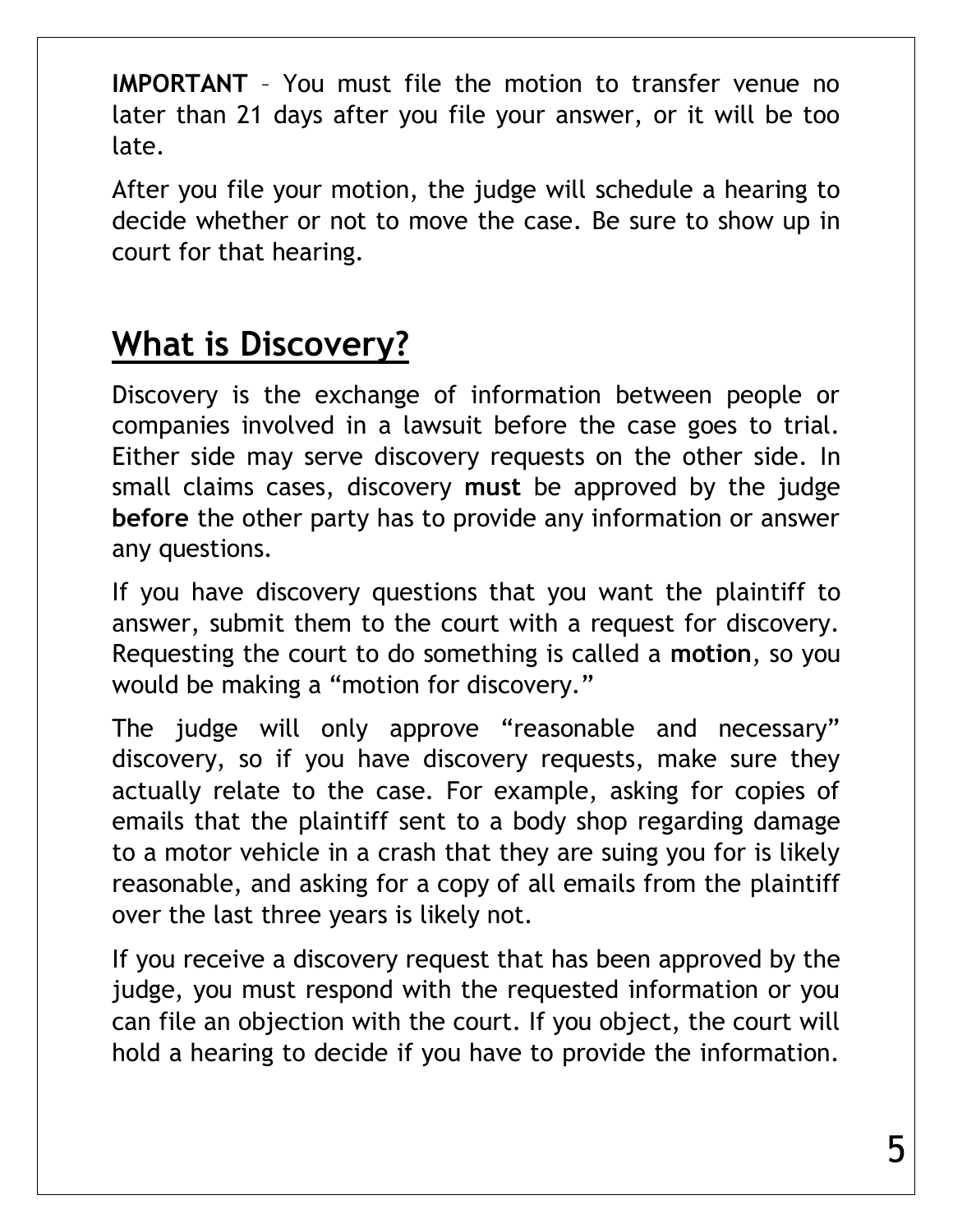**IMPORTANT** – You must file the motion to transfer venue no later than 21 days after you file your answer, or it will be too late.

After you file your motion, the judge will schedule a hearing to decide whether or not to move the case. Be sure to show up in court for that hearing.

# **What is Discovery?**

Discovery is the exchange of information between people or companies involved in a lawsuit before the case goes to trial. Either side may serve discovery requests on the other side. In small claims cases, discovery **must** be approved by the judge **before** the other party has to provide any information or answer any questions.

If you have discovery questions that you want the plaintiff to answer, submit them to the court with a request for discovery. Requesting the court to do something is called a **motion**, so you would be making a "motion for discovery."

The judge will only approve "reasonable and necessary" discovery, so if you have discovery requests, make sure they actually relate to the case. For example, asking for copies of emails that the plaintiff sent to a body shop regarding damage to a motor vehicle in a crash that they are suing you for is likely reasonable, and asking for a copy of all emails from the plaintiff over the last three years is likely not.

If you receive a discovery request that has been approved by the judge, you must respond with the requested information or you can file an objection with the court. If you object, the court will hold a hearing to decide if you have to provide the information.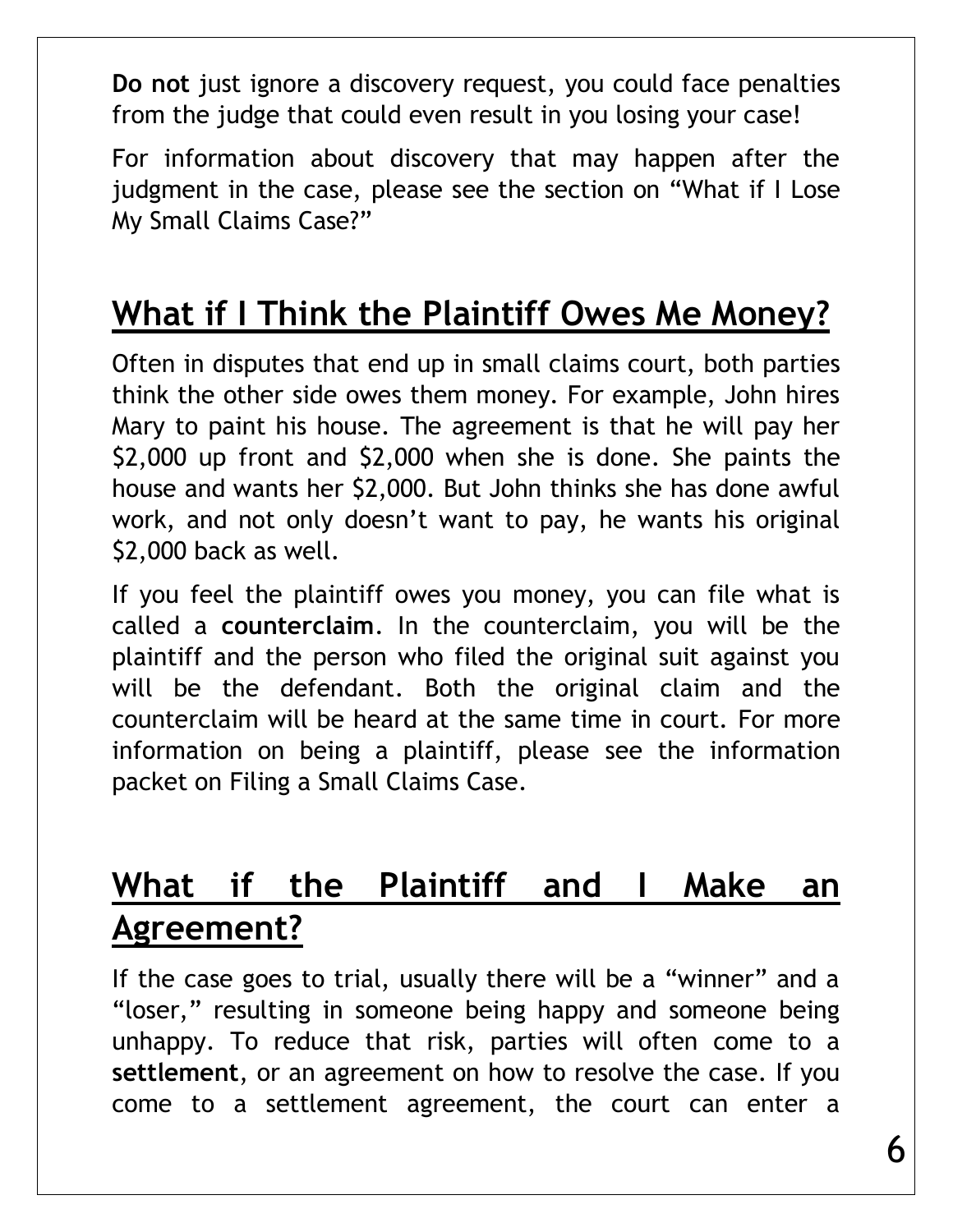**Do not** just ignore a discovery request, you could face penalties from the judge that could even result in you losing your case!

For information about discovery that may happen after the judgment in the case, please see the section on "What if I Lose My Small Claims Case?"

### **What if I Think the Plaintiff Owes Me Money?**

Often in disputes that end up in small claims court, both parties think the other side owes them money. For example, John hires Mary to paint his house. The agreement is that he will pay her \$2,000 up front and \$2,000 when she is done. She paints the house and wants her \$2,000. But John thinks she has done awful work, and not only doesn't want to pay, he wants his original \$2,000 back as well.

If you feel the plaintiff owes you money, you can file what is called a **counterclaim**. In the counterclaim, you will be the plaintiff and the person who filed the original suit against you will be the defendant. Both the original claim and the counterclaim will be heard at the same time in court. For more information on being a plaintiff, please see the information packet on Filing a Small Claims Case.

# **What if the Plaintiff and I Make an Agreement?**

If the case goes to trial, usually there will be a "winner" and a "loser," resulting in someone being happy and someone being unhappy. To reduce that risk, parties will often come to a **settlement**, or an agreement on how to resolve the case. If you come to a settlement agreement, the court can enter a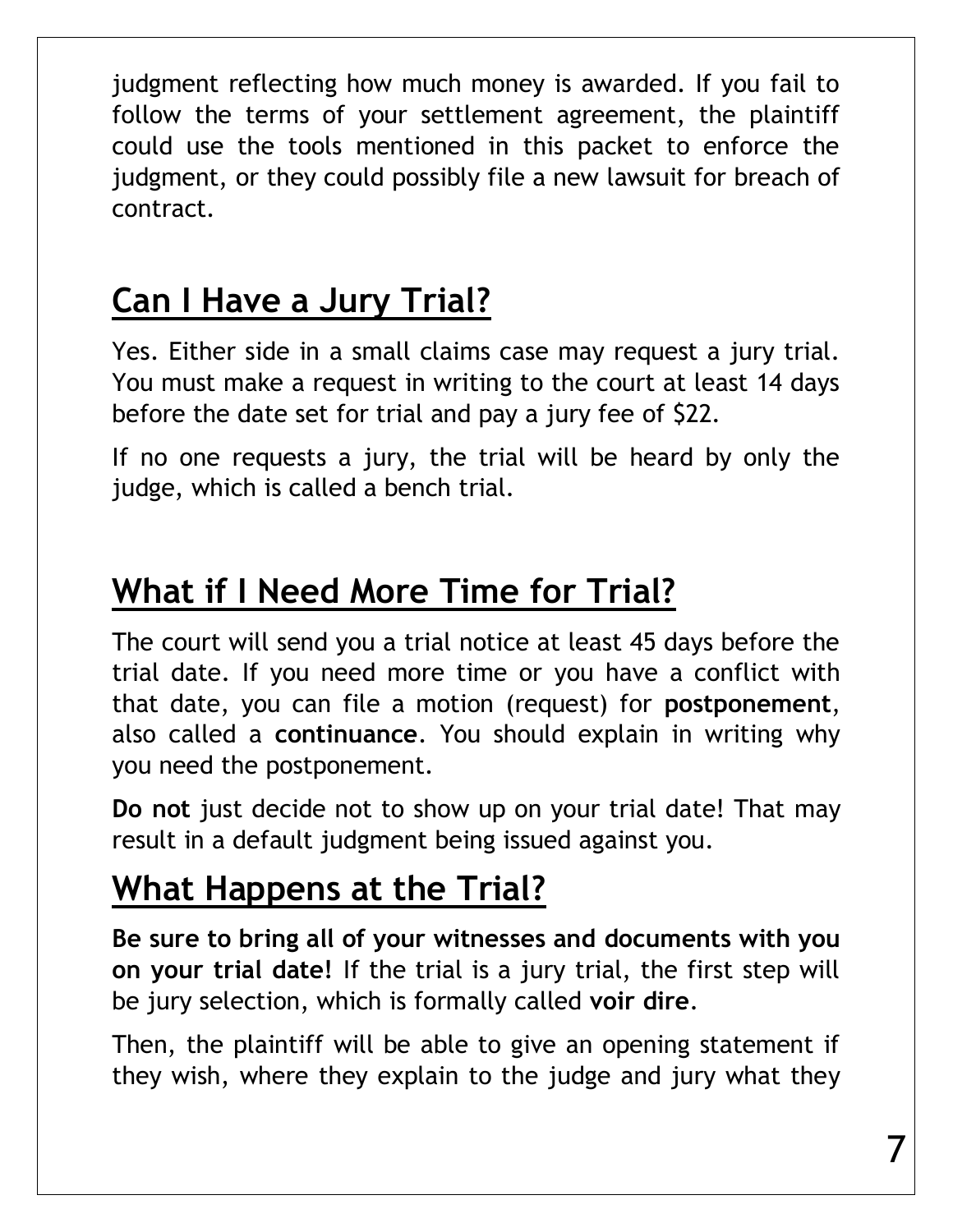judgment reflecting how much money is awarded. If you fail to follow the terms of your settlement agreement, the plaintiff could use the tools mentioned in this packet to enforce the judgment, or they could possibly file a new lawsuit for breach of contract.

# **Can I Have a Jury Trial?**

Yes. Either side in a small claims case may request a jury trial. You must make a request in writing to the court at least 14 days before the date set for trial and pay a jury fee of \$22.

If no one requests a jury, the trial will be heard by only the judge, which is called a bench trial.

## **What if I Need More Time for Trial?**

The court will send you a trial notice at least 45 days before the trial date. If you need more time or you have a conflict with that date, you can file a motion (request) for **postponement**, also called a **continuance**. You should explain in writing why you need the postponement.

**Do not** just decide not to show up on your trial date! That may result in a default judgment being issued against you.

## **What Happens at the Trial?**

**Be sure to bring all of your witnesses and documents with you on your trial date!** If the trial is a jury trial, the first step will be jury selection, which is formally called **voir dire**.

Then, the plaintiff will be able to give an opening statement if they wish, where they explain to the judge and jury what they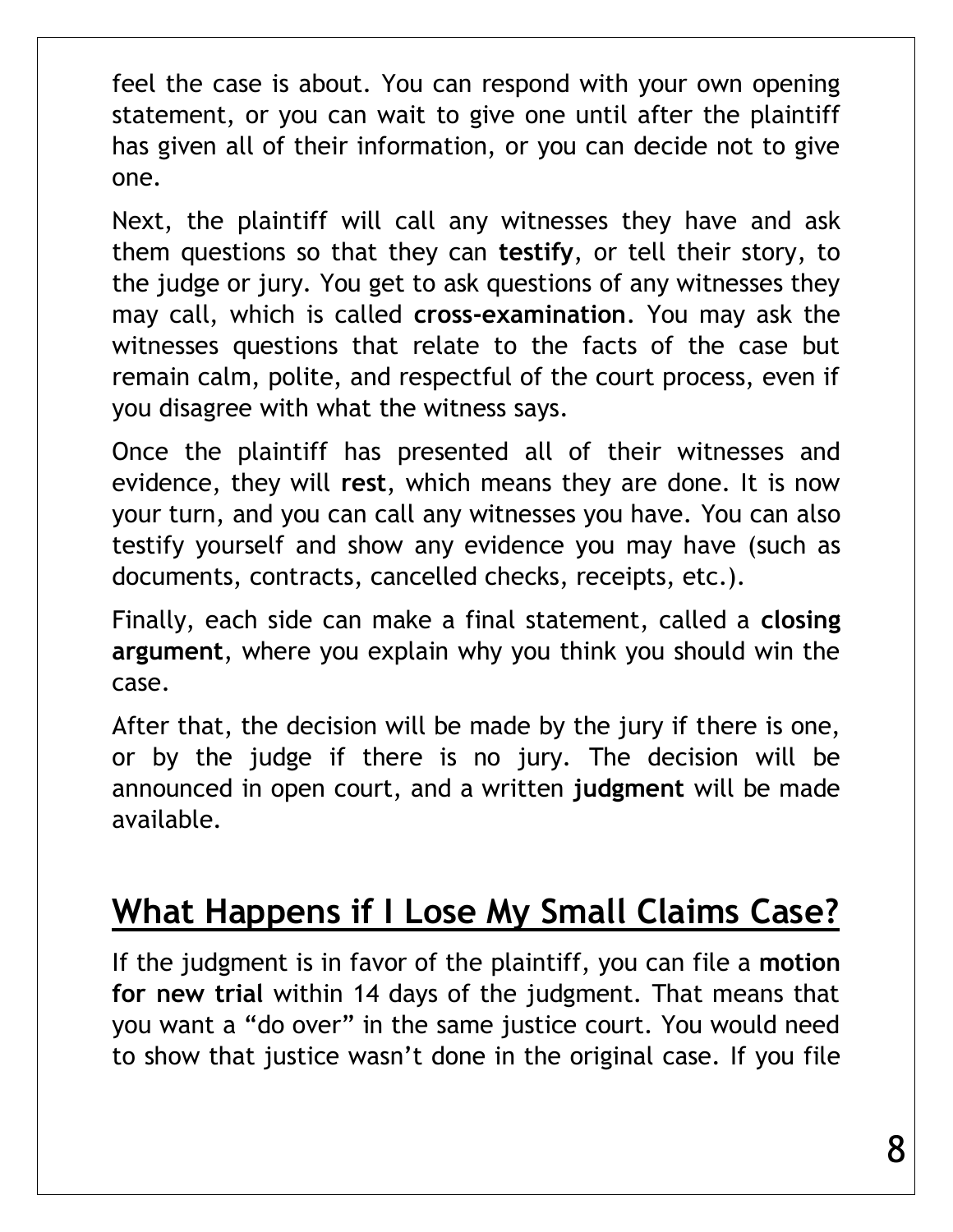feel the case is about. You can respond with your own opening statement, or you can wait to give one until after the plaintiff has given all of their information, or you can decide not to give one.

Next, the plaintiff will call any witnesses they have and ask them questions so that they can **testify**, or tell their story, to the judge or jury. You get to ask questions of any witnesses they may call, which is called **cross-examination**. You may ask the witnesses questions that relate to the facts of the case but remain calm, polite, and respectful of the court process, even if you disagree with what the witness says.

Once the plaintiff has presented all of their witnesses and evidence, they will **rest**, which means they are done. It is now your turn, and you can call any witnesses you have. You can also testify yourself and show any evidence you may have (such as documents, contracts, cancelled checks, receipts, etc.).

Finally, each side can make a final statement, called a **closing argument**, where you explain why you think you should win the case.

After that, the decision will be made by the jury if there is one, or by the judge if there is no jury. The decision will be announced in open court, and a written **judgment** will be made available.

## **What Happens if I Lose My Small Claims Case?**

If the judgment is in favor of the plaintiff, you can file a **motion for new trial** within 14 days of the judgment. That means that you want a "do over" in the same justice court. You would need to show that justice wasn't done in the original case. If you file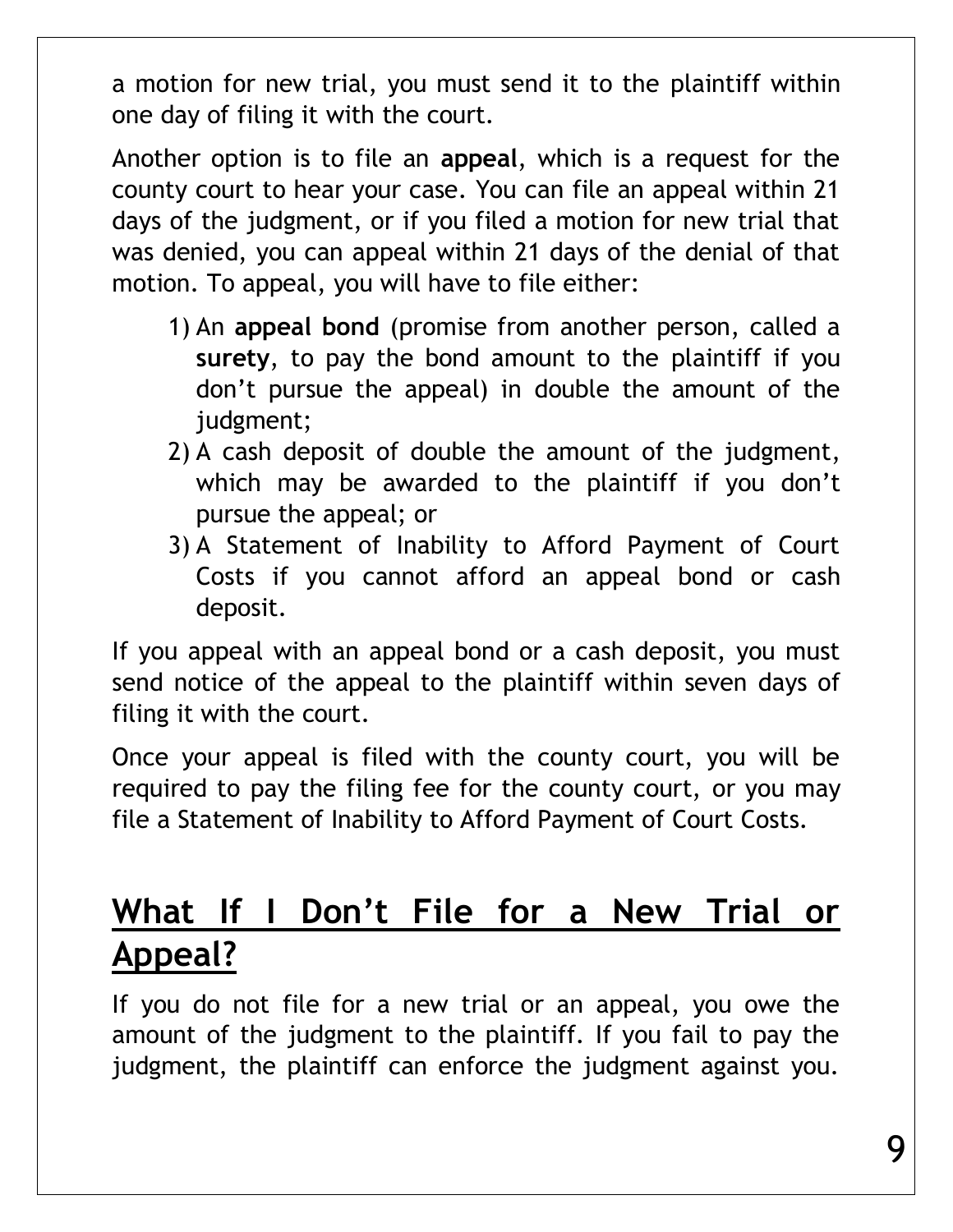a motion for new trial, you must send it to the plaintiff within one day of filing it with the court.

Another option is to file an **appeal**, which is a request for the county court to hear your case. You can file an appeal within 21 days of the judgment, or if you filed a motion for new trial that was denied, you can appeal within 21 days of the denial of that motion. To appeal, you will have to file either:

- 1) An **appeal bond** (promise from another person, called a **surety**, to pay the bond amount to the plaintiff if you don't pursue the appeal) in double the amount of the judgment;
- 2) A cash deposit of double the amount of the judgment, which may be awarded to the plaintiff if you don't pursue the appeal; or
- 3) A Statement of Inability to Afford Payment of Court Costs if you cannot afford an appeal bond or cash deposit.

If you appeal with an appeal bond or a cash deposit, you must send notice of the appeal to the plaintiff within seven days of filing it with the court.

Once your appeal is filed with the county court, you will be required to pay the filing fee for the county court, or you may file a Statement of Inability to Afford Payment of Court Costs.

#### **What If I Don't File for a New Trial or Appeal?**

If you do not file for a new trial or an appeal, you owe the amount of the judgment to the plaintiff. If you fail to pay the judgment, the plaintiff can enforce the judgment against you.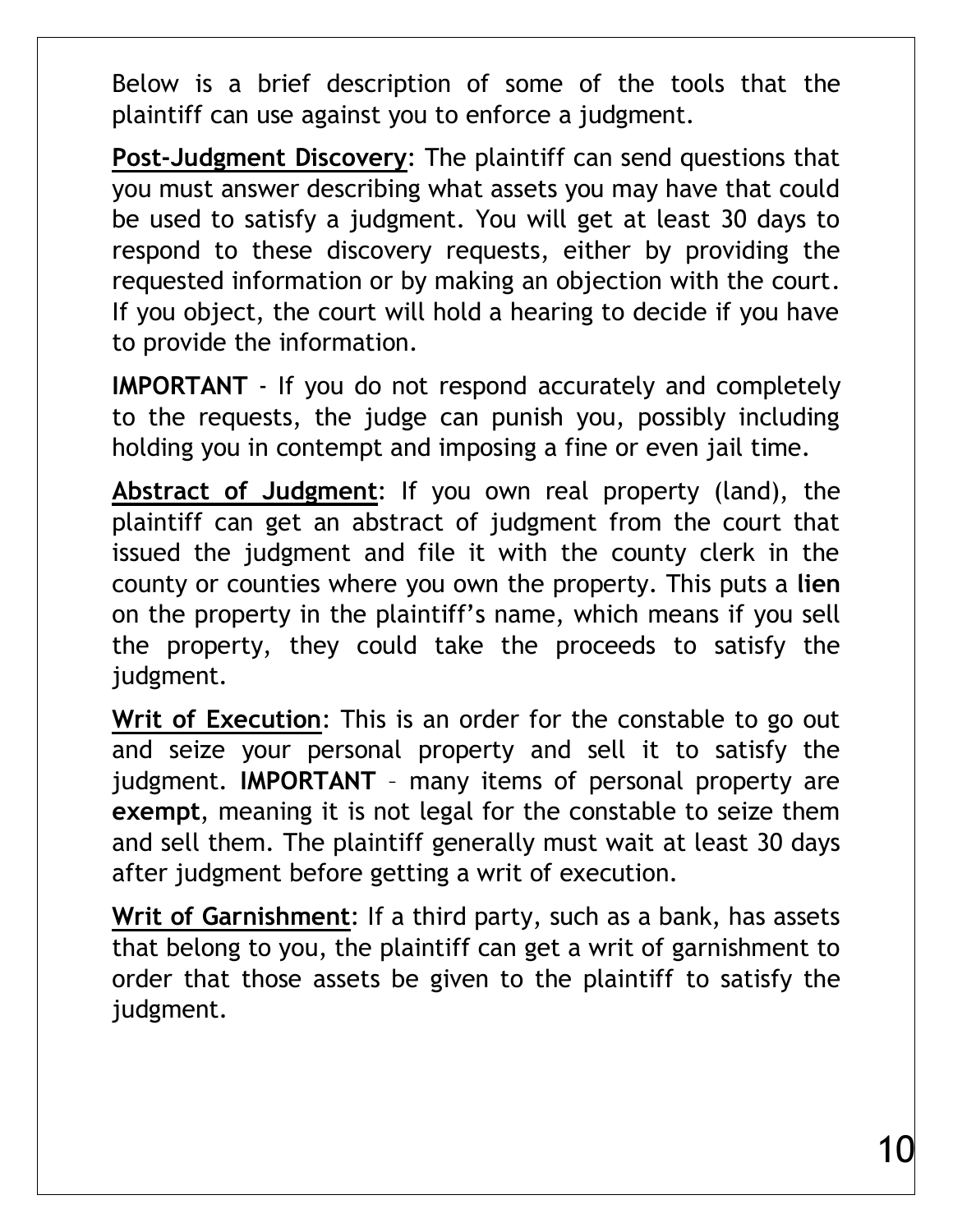Below is a brief description of some of the tools that the plaintiff can use against you to enforce a judgment.

**Post-Judgment Discovery**: The plaintiff can send questions that you must answer describing what assets you may have that could be used to satisfy a judgment. You will get at least 30 days to respond to these discovery requests, either by providing the requested information or by making an objection with the court. If you object, the court will hold a hearing to decide if you have to provide the information.

**IMPORTANT** - If you do not respond accurately and completely to the requests, the judge can punish you, possibly including holding you in contempt and imposing a fine or even jail time.

**Abstract of Judgment**: If you own real property (land), the plaintiff can get an abstract of judgment from the court that issued the judgment and file it with the county clerk in the county or counties where you own the property. This puts a **lien** on the property in the plaintiff's name, which means if you sell the property, they could take the proceeds to satisfy the judgment.

**Writ of Execution**: This is an order for the constable to go out and seize your personal property and sell it to satisfy the judgment. **IMPORTANT** – many items of personal property are **exempt**, meaning it is not legal for the constable to seize them and sell them. The plaintiff generally must wait at least 30 days after judgment before getting a writ of execution.

**Writ of Garnishment**: If a third party, such as a bank, has assets that belong to you, the plaintiff can get a writ of garnishment to order that those assets be given to the plaintiff to satisfy the judgment.